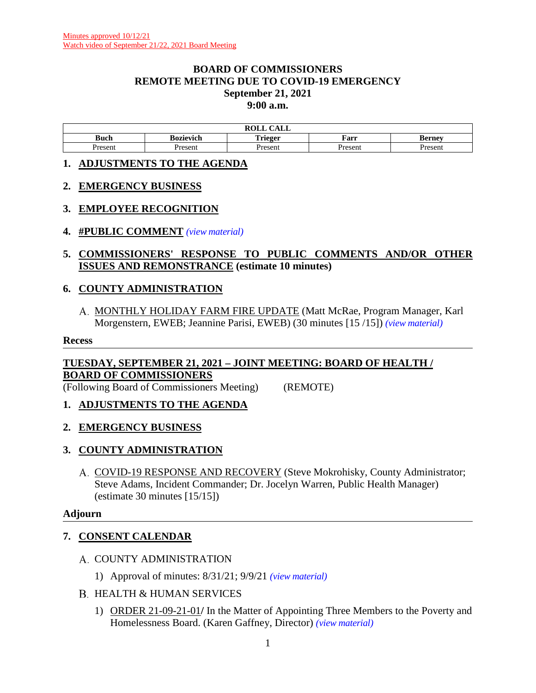#### **BOARD OF COMMISSIONERS REMOTE MEETING DUE TO COVID-19 EMERGENCY September 21, 2021 9:00 a.m.**

|        |           | $\bigcap$ $\bigcap$ $\bigcap$<br><b>ROLL</b><br>САЫЛ |         |              |
|--------|-----------|------------------------------------------------------|---------|--------------|
| Buch   | Bozievich | ${\bf \color{red}Triloor}$<br>$\blacksquare$         | Farr    | sernev<br>Dы |
| resent | Present   | <b>Presen</b>                                        | Present | resen        |

#### **1. ADJUSTMENTS TO THE AGENDA**

#### **2. EMERGENCY BUSINESS**

## **3. EMPLOYEE RECOGNITION**

**4. #PUBLIC COMMENT** *(view [material\)](http://www.lanecountyor.gov/UserFiles/Servers/Server_3585797/File/Government/BCC/2021/2021_AGENDAS/092121agenda/T.4.pdf)*

#### **5. COMMISSIONERS' RESPONSE TO PUBLIC COMMENTS AND/OR OTHER ISSUES AND REMONSTRANCE (estimate 10 minutes)**

## **6. COUNTY ADMINISTRATION**

A. MONTHLY HOLIDAY FARM FIRE UPDATE (Matt McRae, Program Manager, Karl Morgenstern, EWEB; Jeannine Parisi, EWEB) (30 minutes [15 /15]) *(view [material\)](http://www.lanecountyor.gov/UserFiles/Servers/Server_3585797/File/Government/BCC/2021/2021_AGENDAS/092121agenda/T.6.A.pdf)*

#### **Recess**

## **TUESDAY, SEPTEMBER 21, 2021 – JOINT MEETING: BOARD OF HEALTH / BOARD OF COMMISSIONERS**

(Following Board of Commissioners Meeting) (REMOTE)

- **1. ADJUSTMENTS TO THE AGENDA**
- **2. EMERGENCY BUSINESS**

## **3. COUNTY ADMINISTRATION**

COVID-19 RESPONSE AND RECOVERY (Steve Mokrohisky, County Administrator; Steve Adams, Incident Commander; Dr. Jocelyn Warren, Public Health Manager) (estimate 30 minutes [15/15])

#### **Adjourn**

## **7. CONSENT CALENDAR**

- A. COUNTY ADMINISTRATION
	- 1) Approval of minutes: 8/31/21; 9/9/21 *(view [material\)](http://www.lanecountyor.gov/UserFiles/Servers/Server_3585797/File/Government/BCC/2021/2021_AGENDAS/092121agenda/T.7.A.1.pdf)*
- B. HEALTH & HUMAN SERVICES
	- 1) ORDER 21-09-21-01**/** In the Matter of Appointing Three Members to the Poverty and Homelessness Board. (Karen Gaffney, Director) *(view [material\)](http://www.lanecountyor.gov/UserFiles/Servers/Server_3585797/File/Government/BCC/2021/2021_AGENDAS/092121agenda/T.7.B.1.pdf)*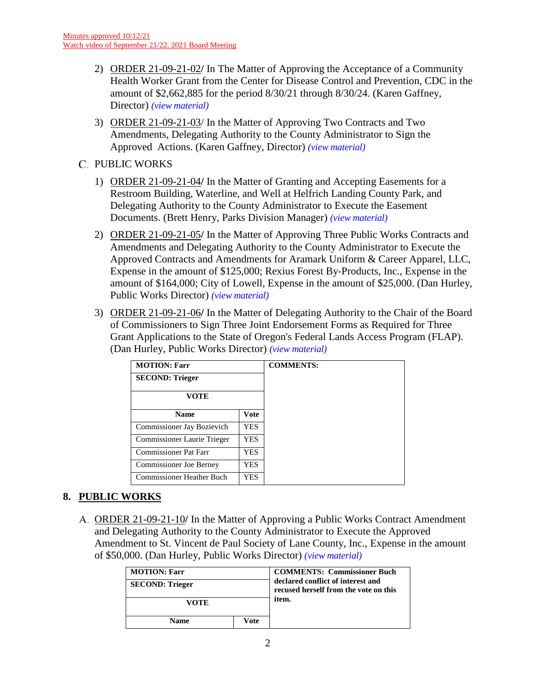- 2) ORDER 21-09-21-02**/** In The Matter of Approving the Acceptance of a Community Health Worker Grant from the Center for Disease Control and Prevention, CDC in the amount of \$2,662,885 for the period 8/30/21 through 8/30/24. (Karen Gaffney, Director) *(view [material\)](http://www.lanecountyor.gov/UserFiles/Servers/Server_3585797/File/Government/BCC/2021/2021_AGENDAS/092121agenda/T.7.B.2.pdf)*
- 3) ORDER 21-09-21-03/ In the Matter of Approving Two Contracts and Two Amendments, Delegating Authority to the County Administrator to Sign the Approved Actions. (Karen Gaffney, Director) *(view [material\)](http://www.lanecountyor.gov/UserFiles/Servers/Server_3585797/File/Government/BCC/2021/2021_AGENDAS/092121agenda/T.7.B.3.pdf)*
- C. PUBLIC WORKS
	- 1) ORDER 21-09-21-04**/** In the Matter of Granting and Accepting Easements for a Restroom Building, Waterline, and Well at Helfrich Landing County Park, and Delegating Authority to the County Administrator to Execute the Easement Documents. (Brett Henry, Parks Division Manager) *(view [material\)](http://www.lanecountyor.gov/UserFiles/Servers/Server_3585797/File/Government/BCC/2021/2021_AGENDAS/092121agenda/T.7.C.1.pdf)*
	- 2) ORDER 21-09-21-05**/** In the Matter of Approving Three Public Works Contracts and Amendments and Delegating Authority to the County Administrator to Execute the Approved Contracts and Amendments for Aramark Uniform & Career Apparel, LLC, Expense in the amount of \$125,000; Rexius Forest By-Products, Inc., Expense in the amount of \$164,000; City of Lowell, Expense in the amount of \$25,000. (Dan Hurley, Public Works Director) *(view [material\)](http://www.lanecountyor.gov/UserFiles/Servers/Server_3585797/File/Government/BCC/2021/2021_AGENDAS/092121agenda/T.7.C.2.pdf)*
	- 3) ORDER 21-09-21-06**/** In the Matter of Delegating Authority to the Chair of the Board of Commissioners to Sign Three Joint Endorsement Forms as Required for Three Grant Applications to the State of Oregon's Federal Lands Access Program (FLAP). (Dan Hurley, Public Works Director) *(view [material\)](http://www.lanecountyor.gov/UserFiles/Servers/Server_3585797/File/Government/BCC/2021/2021_AGENDAS/092121agenda/T.7.C.3.pdf)*

| <b>MOTION: Farr</b><br><b>SECOND: Trieger</b> |      | <b>COMMENTS:</b> |
|-----------------------------------------------|------|------------------|
|                                               |      |                  |
| <b>Name</b>                                   | Vote |                  |
| Commissioner Jay Bozievich                    | YES. |                  |
| Commissioner Laurie Trieger                   | YES. |                  |
| <b>Commissioner Pat Farr</b>                  | YES  |                  |
| <b>Commissioner Joe Berney</b>                | YES  |                  |
| <b>Commissioner Heather Buch</b>              | YES  |                  |

# **8. PUBLIC WORKS**

ORDER 21-09-21-10**/** In the Matter of Approving a Public Works Contract Amendment and Delegating Authority to the County Administrator to Execute the Approved Amendment to St. Vincent de Paul Society of Lane County, Inc., Expense in the amount of \$50,000. (Dan Hurley, Public Works Director) *(view [material\)](http://www.lanecountyor.gov/UserFiles/Servers/Server_3585797/File/Government/BCC/2021/2021_AGENDAS/092121agenda/T.7.C.2seperate.pdf)*

| <b>MOTION: Farr</b>    |  | <b>COMMENTS: Commissioner Buch</b><br>declared conflict of interest and<br>recused herself from the vote on this |
|------------------------|--|------------------------------------------------------------------------------------------------------------------|
| <b>SECOND: Trieger</b> |  |                                                                                                                  |
| VOTE                   |  | item.                                                                                                            |
| <b>Name</b><br>Vote    |  |                                                                                                                  |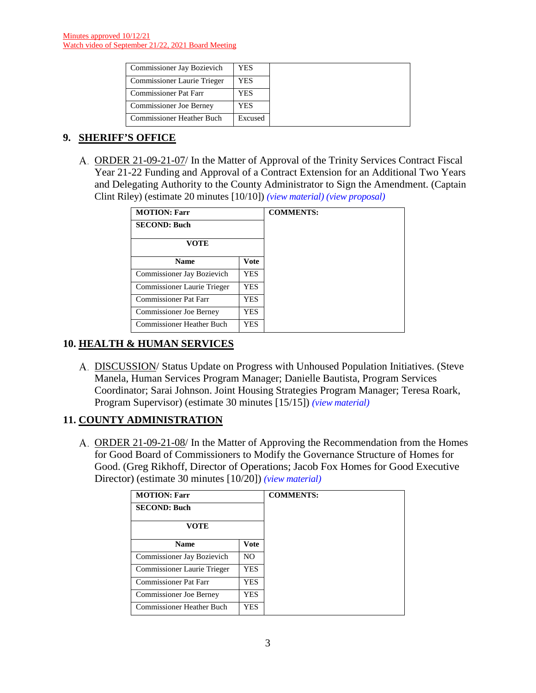| Commissioner Jay Bozievich         | YES     |
|------------------------------------|---------|
| <b>Commissioner Laurie Trieger</b> | YES     |
| <b>Commissioner Pat Farr</b>       | YES     |
| Commissioner Joe Berney            | YES     |
| <b>Commissioner Heather Buch</b>   | Excused |

# **9. SHERIFF'S OFFICE**

ORDER 21-09-21-07/ In the Matter of Approval of the Trinity Services Contract Fiscal Year 21-22 Funding and Approval of a Contract Extension for an Additional Two Years and Delegating Authority to the County Administrator to Sign the Amendment. (Captain Clint Riley) (estimate 20 minutes [10/10]) *(view [material\)](http://www.lanecountyor.gov/UserFiles/Servers/Server_3585797/File/Government/BCC/2021/2021_AGENDAS/092121agenda/T.8.A.pdf) (view [proposal\)](http://www.lanecountyor.gov/UserFiles/Servers/Server_3585797/File/Government/BCC/2021/2021_AGENDAS/092121agenda/T.8.Aprop.pdf)*

| <b>MOTION: Farr</b>              | <b>COMMENTS:</b> |  |
|----------------------------------|------------------|--|
| <b>SECOND: Buch</b>              |                  |  |
| <b>VOTE</b>                      |                  |  |
| <b>Name</b>                      | <b>Vote</b>      |  |
| Commissioner Jay Bozievich       | YES              |  |
| Commissioner Laurie Trieger      | YES.             |  |
| <b>Commissioner Pat Farr</b>     | YES.             |  |
| <b>Commissioner Joe Berney</b>   | YES              |  |
| <b>Commissioner Heather Buch</b> | YES              |  |

# **10. HEALTH & HUMAN SERVICES**

DISCUSSION/ Status Update on Progress with Unhoused Population Initiatives. (Steve Manela, Human Services Program Manager; Danielle Bautista, Program Services Coordinator; Sarai Johnson. Joint Housing Strategies Program Manager; Teresa Roark, Program Supervisor) (estimate 30 minutes [15/15]) *(view [material\)](http://www.lanecountyor.gov/UserFiles/Servers/Server_3585797/File/Government/BCC/2021/2021_AGENDAS/092121agenda/T.9.A.pdf)*

# **11. COUNTY ADMINISTRATION**

ORDER 21-09-21-08/ In the Matter of Approving the Recommendation from the Homes for Good Board of Commissioners to Modify the Governance Structure of Homes for Good. (Greg Rikhoff, Director of Operations; Jacob Fox Homes for Good Executive Director) (estimate 30 minutes [10/20]) *(view [material\)](http://www.lanecountyor.gov/UserFiles/Servers/Server_3585797/File/Government/BCC/2021/2021_AGENDAS/092121agenda/T.10.A.pdf)*

| <b>MOTION: Farr</b>              |                |  |
|----------------------------------|----------------|--|
| <b>SECOND: Buch</b>              |                |  |
| VOTE                             |                |  |
| <b>Name</b>                      | <b>Vote</b>    |  |
| Commissioner Jay Bozievich       | N <sub>O</sub> |  |
| Commissioner Laurie Trieger      | <b>YES</b>     |  |
| <b>Commissioner Pat Farr</b>     | YES            |  |
| <b>Commissioner Joe Berney</b>   | <b>YES</b>     |  |
| <b>Commissioner Heather Buch</b> | YES.           |  |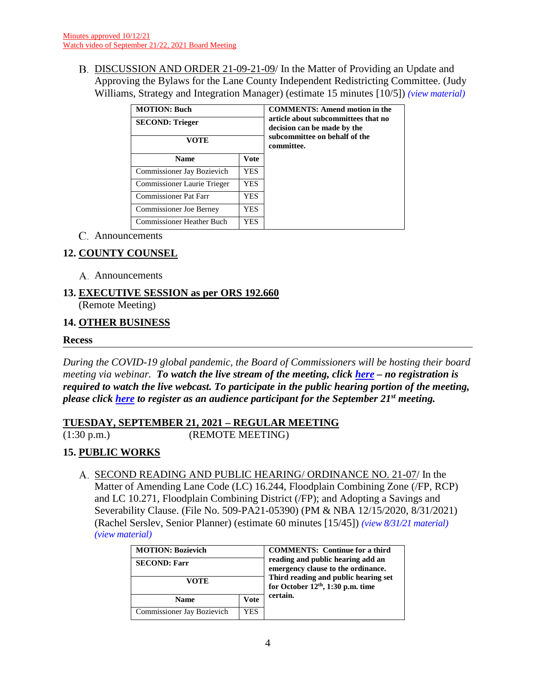B. DISCUSSION AND ORDER 21-09-21-09/ In the Matter of Providing an Update and Approving the Bylaws for the Lane County Independent Redistricting Committee. (Judy Williams, Strategy and Integration Manager) (estimate 15 minutes [10/5]) *(view [material\)](http://www.lanecountyor.gov/UserFiles/Servers/Server_3585797/File/Government/BCC/2021/2021_AGENDAS/092121agenda/T.10.B.pdf)*

| <b>MOTION: Buch</b><br><b>SECOND: Trieger</b><br>VOTE |             | <b>COMMENTS: Amend motion in the</b><br>article about subcommittees that no<br>decision can be made by the<br>subcommittee on behalf of the<br>committee. |
|-------------------------------------------------------|-------------|-----------------------------------------------------------------------------------------------------------------------------------------------------------|
| <b>Name</b>                                           | <b>Vote</b> |                                                                                                                                                           |
| Commissioner Jay Bozievich                            | YES.        |                                                                                                                                                           |
| Commissioner Laurie Trieger                           | <b>YES</b>  |                                                                                                                                                           |
| <b>Commissioner Pat Farr</b>                          | YES.        |                                                                                                                                                           |
| <b>Commissioner Joe Berney</b>                        | YES.        |                                                                                                                                                           |
| <b>Commissioner Heather Buch</b>                      | YES.        |                                                                                                                                                           |

Announcements

# **12. COUNTY COUNSEL**

A. Announcements

#### **13. EXECUTIVE SESSION as per ORS 192.660** (Remote Meeting)

## **14. OTHER BUSINESS**

#### **Recess**

*During the COVID-19 global pandemic, the Board of Commissioners will be hosting their board meeting via webinar. To watch the live stream of the meeting, click [here](https://lanecounty.org/cms/One.aspx?portalId=3585881&pageId=7842434) – no registration is required to watch the live webcast. To participate in the public hearing portion of the meeting, please click [here](https://attendee.gotowebinar.com/register/4021984265290875405) to register as an audience participant for the September 21st meeting.*

## **TUESDAY, SEPTEMBER 21, 2021 – REGULAR MEETING**

 $\overline{(1:30 \text{ p.m.})}$  (REMOTE MEETING)

# **15. PUBLIC WORKS**

SECOND READING AND PUBLIC HEARING/ ORDINANCE NO. 21-07/ In the Matter of Amending Lane Code (LC) 16.244, Floodplain Combining Zone (/FP, RCP) and LC 10.271, Floodplain Combining District (/FP); and Adopting a Savings and Severability Clause. (File No. 509-PA21-05390) (PM & NBA 12/15/2020, 8/31/2021) (Rachel Serslev, Senior Planner) (estimate 60 minutes [15/45]) *(view [8/31/21 material\)](http://www.lanecountyor.gov/UserFiles/Servers/Server_3585797/File/Government/BCC/2021/2021_AGENDAS/083121agenda/T.8.B.pdf)  (view [material\)](http://www.lanecountyor.gov/UserFiles/Servers/Server_3585797/File/Government/BCC/2021/2021_AGENDAS/092121agenda/T.14.A.pdf)*

| <b>MOTION: Bozievich</b><br><b>SECOND: Farr</b><br>VOTE |     | <b>COMMENTS:</b> Continue for a third<br>reading and public hearing add an<br>emergency clause to the ordinance.<br>Third reading and public hearing set<br>for October $12th$ , 1:30 p.m. time |
|---------------------------------------------------------|-----|-------------------------------------------------------------------------------------------------------------------------------------------------------------------------------------------------|
| <b>Vote</b><br><b>Name</b>                              |     | certain.                                                                                                                                                                                        |
| Commissioner Jay Bozievich                              | YES |                                                                                                                                                                                                 |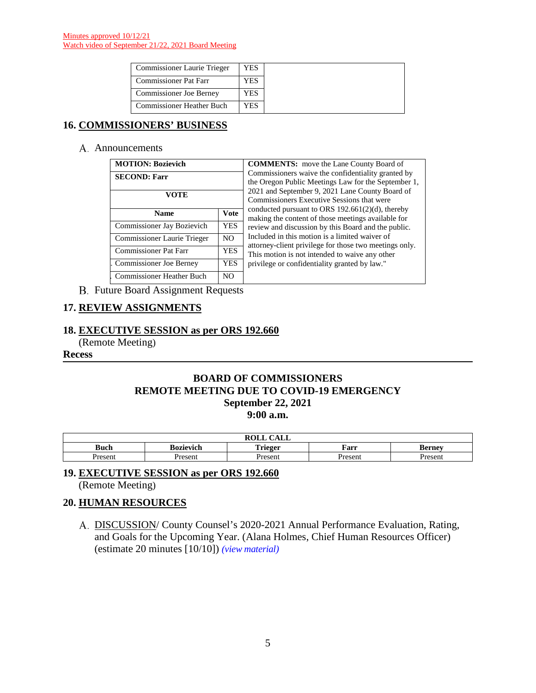| <b>Commissioner Laurie Trieger</b> | YES |
|------------------------------------|-----|
| <b>Commissioner Pat Farr</b>       | YES |
| <b>Commissioner Joe Berney</b>     | YES |
| <b>Commissioner Heather Buch</b>   | YES |

## **16. COMMISSIONERS' BUSINESS**

#### A. Announcements

| <b>MOTION: Bozievich</b>     |             |  |  |
|------------------------------|-------------|--|--|
| <b>SECOND: Farr</b>          |             |  |  |
| <b>VOTE</b>                  |             |  |  |
| <b>Name</b>                  | <b>Vote</b> |  |  |
| Commissioner Jay Bozievich   | <b>YES</b>  |  |  |
| Commissioner Laurie Trieger  | NO.         |  |  |
| <b>Commissioner Pat Farr</b> | <b>YES</b>  |  |  |
| Commissioner Joe Berney      | <b>YES</b>  |  |  |
| Commissioner Heather Buch    | NO.         |  |  |

**MMENTS:** move the Lane County Board of missioners waive the confidentiality granted by Oregon Public Meetings Law for the September 1, 2021 and September 9, 2021 Lane County Board of missioners Executive Sessions that were ducted pursuant to ORS  $192.661(2)(d)$ , thereby ing the content of those meetings available for ew and discussion by this Board and the public. ided in this motion is a limited waiver of ney-client privilege for those two meetings only. motion is not intended to waive any other lege or confidentiality granted by law."

**B.** Future Board Assignment Requests

## **17. REVIEW ASSIGNMENTS**

#### **18. EXECUTIVE SESSION as per ORS 192.660**

(Remote Meeting)

#### **Recess**

#### **BOARD OF COMMISSIONERS REMOTE MEETING DUE TO COVID-19 EMERGENCY September 22, 2021 9:00 a.m.**

|         |                        | <b>DATT</b><br>$\sim \cdot -$<br><b>NVLL</b><br>САШ |         |               |
|---------|------------------------|-----------------------------------------------------|---------|---------------|
| Buch    | . .<br>n.<br>Bozievich | . .<br><b>Trieger</b>                               | Farr    | <b>Berney</b> |
| Present | <b>Present</b>         | Present                                             | Present | Present       |

# **19. EXECUTIVE SESSION as per ORS 192.660**

(Remote Meeting)

#### **20. HUMAN RESOURCES**

A. DISCUSSION/ County Counsel's 2020-2021 Annual Performance Evaluation, Rating, and Goals for the Upcoming Year. (Alana Holmes, Chief Human Resources Officer) (estimate 20 minutes [10/10]) *(view [material\)](http://www.lanecountyor.gov/UserFiles/Servers/Server_3585797/File/Government/BCC/2021/2021_AGENDAS/092121agenda/T.18.A.pdf)*